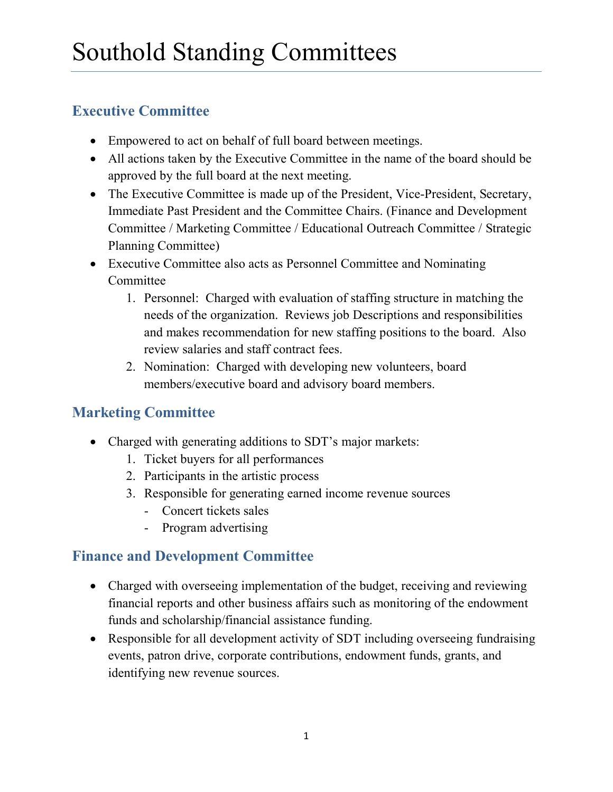#### **Executive Committee**

- Empowered to act on behalf of full board between meetings.
- All actions taken by the Executive Committee in the name of the board should be approved by the full board at the next meeting.
- The Executive Committee is made up of the President, Vice-President, Secretary, Immediate Past President and the Committee Chairs. (Finance and Development Committee / Marketing Committee / Educational Outreach Committee / Strategic Planning Committee)
- Executive Committee also acts as Personnel Committee and Nominating **Committee** 
	- 1. Personnel: Charged with evaluation of staffing structure in matching the needs of the organization. Reviews job Descriptions and responsibilities and makes recommendation for new staffing positions to the board. Also review salaries and staff contract fees.
	- 2. Nomination: Charged with developing new volunteers, board members/executive board and advisory board members.

# **Marketing Committee**

- Charged with generating additions to SDT's major markets:
	- 1. Ticket buyers for all performances
	- 2. Participants in the artistic process
	- 3. Responsible for generating earned income revenue sources
		- Concert tickets sales
		- Program advertising

### **Finance and Development Committee**

- Charged with overseeing implementation of the budget, receiving and reviewing financial reports and other business affairs such as monitoring of the endowment funds and scholarship/financial assistance funding.
- Responsible for all development activity of SDT including overseeing fundraising events, patron drive, corporate contributions, endowment funds, grants, and identifying new revenue sources.